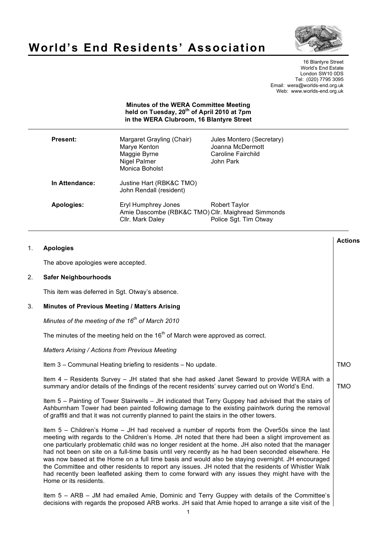

# **World's End Residents' Association**

16 Blantyre Street World's End Estate London SW10 0DS Tel: (020) 7795 3095 Email: wera@worlds-end.org.uk Web: www.worlds-end.org.uk

## **Minutes of the WERA Committee Meeting held on Tuesday, 20th of April 2010 at 7pm in the WERA Clubroom, 16 Blantyre Street**

| Present:       | Margaret Grayling (Chair)<br>Marye Kenton<br>Maggie Byrne<br><b>Nigel Palmer</b><br>Monica Boholst | Jules Montero (Secretary)<br>Joanna McDermott<br>Caroline Fairchild<br>John Park             |
|----------------|----------------------------------------------------------------------------------------------------|----------------------------------------------------------------------------------------------|
| In Attendance: | Justine Hart (RBK&C TMO)<br>John Rendall (resident)                                                |                                                                                              |
| Apologies:     | Eryl Humphrey Jones<br>Cllr. Mark Daley                                                            | Robert Taylor<br>Amie Dascombe (RBK&C TMO) Cllr. Maighread Simmonds<br>Police Sgt. Tim Otway |

| 1. | <b>Apologies</b>                                                                                                                                                                                                                                                                                                                                                                                                                                                                                                                                                                                                                                                                                                                                               | <b>Actions</b> |
|----|----------------------------------------------------------------------------------------------------------------------------------------------------------------------------------------------------------------------------------------------------------------------------------------------------------------------------------------------------------------------------------------------------------------------------------------------------------------------------------------------------------------------------------------------------------------------------------------------------------------------------------------------------------------------------------------------------------------------------------------------------------------|----------------|
|    | The above apologies were accepted.                                                                                                                                                                                                                                                                                                                                                                                                                                                                                                                                                                                                                                                                                                                             |                |
| 2. | <b>Safer Neighbourhoods</b>                                                                                                                                                                                                                                                                                                                                                                                                                                                                                                                                                                                                                                                                                                                                    |                |
|    | This item was deferred in Sgt. Otway's absence.                                                                                                                                                                                                                                                                                                                                                                                                                                                                                                                                                                                                                                                                                                                |                |
| 3. | Minutes of Previous Meeting / Matters Arising                                                                                                                                                                                                                                                                                                                                                                                                                                                                                                                                                                                                                                                                                                                  |                |
|    | Minutes of the meeting of the $16^{th}$ of March 2010                                                                                                                                                                                                                                                                                                                                                                                                                                                                                                                                                                                                                                                                                                          |                |
|    | The minutes of the meeting held on the 16 <sup>th</sup> of March were approved as correct.                                                                                                                                                                                                                                                                                                                                                                                                                                                                                                                                                                                                                                                                     |                |
|    | <b>Matters Arising / Actions from Previous Meeting</b>                                                                                                                                                                                                                                                                                                                                                                                                                                                                                                                                                                                                                                                                                                         |                |
|    | Item 3 - Communal Heating briefing to residents - No update.                                                                                                                                                                                                                                                                                                                                                                                                                                                                                                                                                                                                                                                                                                   | <b>TMO</b>     |
|    | Item 4 - Residents Survey - JH stated that she had asked Janet Seward to provide WERA with a<br>summary and/or details of the findings of the recent residents' survey carried out on World's End.                                                                                                                                                                                                                                                                                                                                                                                                                                                                                                                                                             | <b>TMO</b>     |
|    | Item 5 - Painting of Tower Stairwells - JH indicated that Terry Guppey had advised that the stairs of<br>Ashburnham Tower had been painted following damage to the existing paintwork during the removal<br>of graffiti and that it was not currently planned to paint the stairs in the other towers.                                                                                                                                                                                                                                                                                                                                                                                                                                                         |                |
|    | Item 5 - Children's Home - JH had received a number of reports from the Over50s since the last<br>meeting with regards to the Children's Home. JH noted that there had been a slight improvement as<br>one particularly problematic child was no longer resident at the home. JH also noted that the manager<br>had not been on site on a full-time basis until very recently as he had been seconded elsewhere. He<br>was now based at the Home on a full time basis and would also be staying overnight. JH encouraged<br>the Committee and other residents to report any issues. JH noted that the residents of Whistler Walk<br>had recently been leafleted asking them to come forward with any issues they might have with the<br>Home or its residents. |                |
|    | Item 5 - ARB - JM had emailed Amie, Dominic and Terry Guppey with details of the Committee's<br>decisions with regards the proposed ARB works. JH said that Amie hoped to arrange a site visit of the                                                                                                                                                                                                                                                                                                                                                                                                                                                                                                                                                          |                |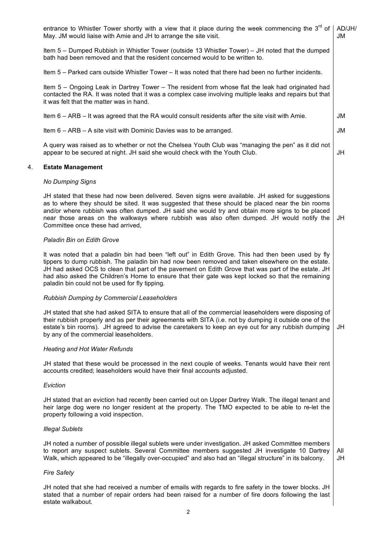|    | entrance to Whistler Tower shortly with a view that it place during the week commencing the $3^{10}$ of<br>May. JM would liaise with Amie and JH to arrange the site visit.                                                                                                                                                                                                                                                                                          | AD/JH/<br>JM |
|----|----------------------------------------------------------------------------------------------------------------------------------------------------------------------------------------------------------------------------------------------------------------------------------------------------------------------------------------------------------------------------------------------------------------------------------------------------------------------|--------------|
|    | Item 5 – Dumped Rubbish in Whistler Tower (outside 13 Whistler Tower) – JH noted that the dumped<br>bath had been removed and that the resident concerned would to be written to.                                                                                                                                                                                                                                                                                    |              |
|    | Item 5 - Parked cars outside Whistler Tower - It was noted that there had been no further incidents.                                                                                                                                                                                                                                                                                                                                                                 |              |
|    | Item 5 - Ongoing Leak in Dartrey Tower - The resident from whose flat the leak had originated had<br>contacted the RA. It was noted that it was a complex case involving multiple leaks and repairs but that<br>it was felt that the matter was in hand.                                                                                                                                                                                                             |              |
|    | Item 6 - ARB - It was agreed that the RA would consult residents after the site visit with Amie.                                                                                                                                                                                                                                                                                                                                                                     | JM           |
|    | Item $6 - ARB - A$ site visit with Dominic Davies was to be arranged.                                                                                                                                                                                                                                                                                                                                                                                                | <b>JM</b>    |
|    | A query was raised as to whether or not the Chelsea Youth Club was "managing the pen" as it did not<br>appear to be secured at night. JH said she would check with the Youth Club.                                                                                                                                                                                                                                                                                   | JH           |
| 4. | <b>Estate Management</b>                                                                                                                                                                                                                                                                                                                                                                                                                                             |              |
|    | <b>No Dumping Signs</b>                                                                                                                                                                                                                                                                                                                                                                                                                                              |              |
|    | JH stated that these had now been delivered. Seven signs were available. JH asked for suggestions<br>as to where they should be sited. It was suggested that these should be placed near the bin rooms<br>and/or where rubbish was often dumped. JH said she would try and obtain more signs to be placed<br>near those areas on the walkways where rubbish was also often dumped. JH would notify the<br>Committee once these had arrived,                          | JH           |
|    | Paladin Bin on Edith Grove                                                                                                                                                                                                                                                                                                                                                                                                                                           |              |
|    | It was noted that a paladin bin had been "left out" in Edith Grove. This had then been used by fly<br>tippers to dump rubbish. The paladin bin had now been removed and taken elsewhere on the estate.<br>JH had asked OCS to clean that part of the pavement on Edith Grove that was part of the estate. JH<br>had also asked the Children's Home to ensure that their gate was kept locked so that the remaining<br>paladin bin could not be used for fly tipping. |              |
|    | Rubbish Dumping by Commercial Leaseholders                                                                                                                                                                                                                                                                                                                                                                                                                           |              |
|    | JH stated that she had asked SITA to ensure that all of the commercial leaseholders were disposing of<br>their rubbish properly and as per their agreements with SITA (i.e. not by dumping it outside one of the<br>estate's bin rooms). JH agreed to advise the caretakers to keep an eye out for any rubbish dumping<br>by any of the commercial leaseholders.                                                                                                     | JH           |
|    | <b>Heating and Hot Water Refunds</b>                                                                                                                                                                                                                                                                                                                                                                                                                                 |              |
|    | JH stated that these would be processed in the next couple of weeks. Tenants would have their rent<br>accounts credited; leaseholders would have their final accounts adjusted.                                                                                                                                                                                                                                                                                      |              |
|    | Eviction                                                                                                                                                                                                                                                                                                                                                                                                                                                             |              |
|    | JH stated that an eviction had recently been carried out on Upper Dartrey Walk. The illegal tenant and<br>heir large dog were no longer resident at the property. The TMO expected to be able to re-let the<br>property following a void inspection.                                                                                                                                                                                                                 |              |
|    | <b>Illegal Sublets</b>                                                                                                                                                                                                                                                                                                                                                                                                                                               |              |
|    | JH noted a number of possible illegal sublets were under investigation. JH asked Committee members<br>to report any suspect sublets. Several Committee members suggested JH investigate 10 Dartrey<br>Walk, which appeared to be "illegally over-occupied" and also had an "illegal structure" in its balcony.                                                                                                                                                       | All<br>JH    |
|    | <b>Fire Safety</b>                                                                                                                                                                                                                                                                                                                                                                                                                                                   |              |
|    |                                                                                                                                                                                                                                                                                                                                                                                                                                                                      |              |

JH noted that she had received a number of emails with regards to fire safety in the tower blocks. JH stated that a number of repair orders had been raised for a number of fire doors following the last estate walkabout.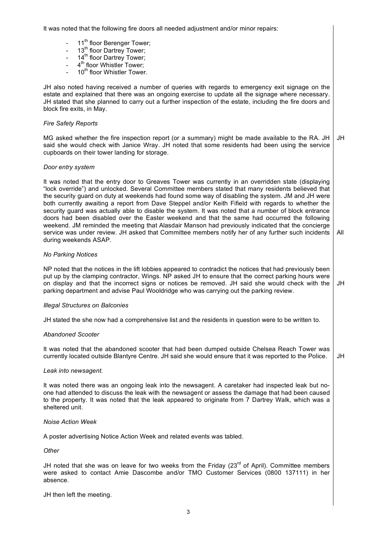It was noted that the following fire doors all needed adjustment and/or minor repairs:

- 11<sup>th</sup> floor Berenger Tower;
- $-$  13<sup>th</sup> floor Dartrey Tower;
- 14<sup>th</sup> floor Dartrey Tower;
- 4<sup>th</sup> floor Whistler Tower;
- 10<sup>th</sup> floor Whistler Tower.

JH also noted having received a number of queries with regards to emergency exit signage on the estate and explained that there was an ongoing exercise to update all the signage where necessary. JH stated that she planned to carry out a further inspection of the estate, including the fire doors and block fire exits, in May.

#### *Fire Safety Reports*

MG asked whether the fire inspection report (or a summary) might be made available to the RA. JH said she would check with Janice Wray. JH noted that some residents had been using the service cupboards on their tower landing for storage. JH

#### *Door entry system*

It was noted that the entry door to Greaves Tower was currently in an overridden state (displaying "lock override") and unlocked. Several Committee members stated that many residents believed that the security guard on duty at weekends had found some way of disabling the system. JM and JH were both currently awaiting a report from Dave Steppel and/or Keith Fifield with regards to whether the security guard was actually able to disable the system. It was noted that a number of block entrance doors had been disabled over the Easter weekend and that the same had occurred the following weekend. JM reminded the meeting that Alasdair Manson had previously indicated that the concierge service was under review. JH asked that Committee members notify her of any further such incidents during weekends ASAP. All

# *No Parking Notices*

NP noted that the notices in the lift lobbies appeared to contradict the notices that had previously been put up by the clamping contractor, Wings. NP asked JH to ensure that the correct parking hours were on display and that the incorrect signs or notices be removed. JH said she would check with the parking department and advise Paul Wooldridge who was carrying out the parking review. JH

#### *Illegal Structures on Balconies*

JH stated the she now had a comprehensive list and the residents in question were to be written to.

#### *Abandoned Scooter*

It was noted that the abandoned scooter that had been dumped outside Chelsea Reach Tower was currently located outside Blantyre Centre. JH said she would ensure that it was reported to the Police. JH

## *Leak into newsagent.*

It was noted there was an ongoing leak into the newsagent. A caretaker had inspected leak but noone had attended to discuss the leak with the newsagent or assess the damage that had been caused to the property. It was noted that the leak appeared to originate from 7 Dartrey Walk, which was a sheltered unit.

#### *Noise Action Week*

A poster advertising Notice Action Week and related events was tabled.

#### *Other*

JH noted that she was on leave for two weeks from the Friday  $(23<sup>rd</sup>$  of April). Committee members were asked to contact Amie Dascombe and/or TMO Customer Services (0800 137111) in her absence.

JH then left the meeting.